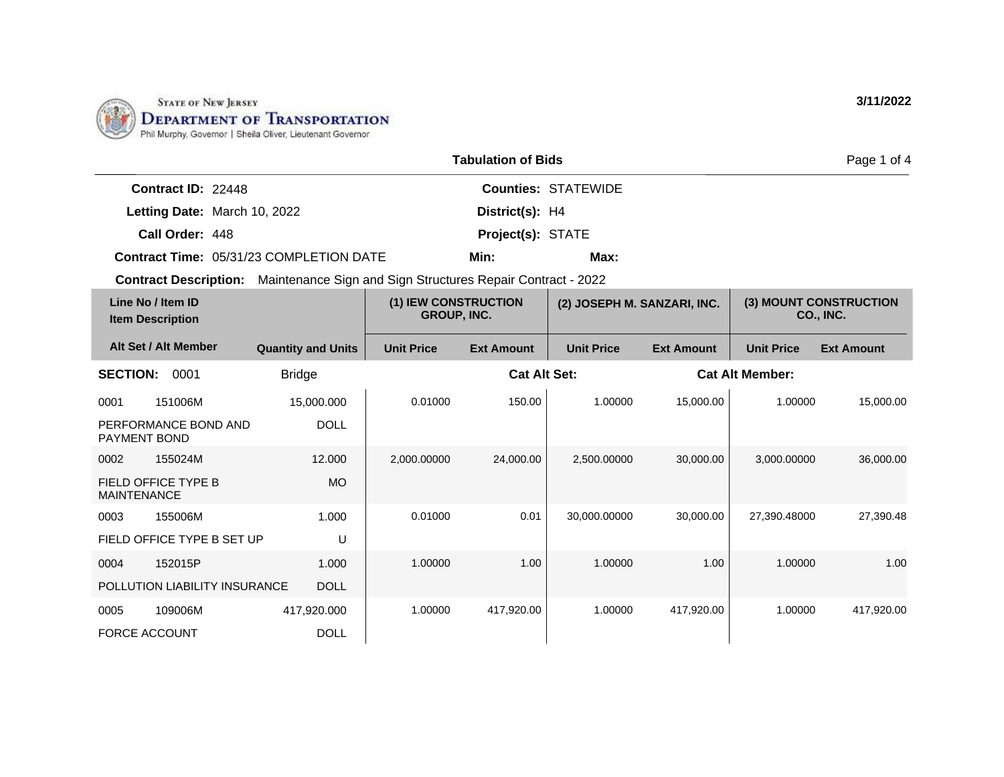

|                           |                                                | <b>Tabulation of Bids</b> |                            | Page 1 of 4 |
|---------------------------|------------------------------------------------|---------------------------|----------------------------|-------------|
| <b>Contract ID: 22448</b> |                                                |                           | <b>Counties: STATEWIDE</b> |             |
|                           | Letting Date: March 10, 2022                   | District(s): H4           |                            |             |
| Call Order: 448           |                                                | <b>Project(s): STATE</b>  |                            |             |
|                           | <b>Contract Time: 05/31/23 COMPLETION DATE</b> | Min:                      | Max:                       |             |

**Contract Description:** Maintenance Sign and Sign Structures Repair Contract - 2022

| Line No / Item ID<br><b>Item Description</b> |                           | (1) IEW CONSTRUCTION<br><b>GROUP, INC.</b> |                     | (2) JOSEPH M. SANZARI, INC. |                   |                        | (3) MOUNT CONSTRUCTION<br><b>CO., INC.</b> |
|----------------------------------------------|---------------------------|--------------------------------------------|---------------------|-----------------------------|-------------------|------------------------|--------------------------------------------|
| Alt Set / Alt Member                         | <b>Quantity and Units</b> | <b>Unit Price</b>                          | <b>Ext Amount</b>   | <b>Unit Price</b>           | <b>Ext Amount</b> | <b>Unit Price</b>      | <b>Ext Amount</b>                          |
| <b>SECTION:</b><br>0001                      | <b>Bridge</b>             |                                            | <b>Cat Alt Set:</b> |                             |                   | <b>Cat Alt Member:</b> |                                            |
| 0001<br>151006M                              | 15,000.000                | 0.01000                                    | 150.00              | 1.00000                     | 15,000.00         | 1.00000                | 15,000.00                                  |
| PERFORMANCE BOND AND<br><b>PAYMENT BOND</b>  | <b>DOLL</b>               |                                            |                     |                             |                   |                        |                                            |
| 0002<br>155024M                              | 12,000                    | 2,000.00000                                | 24,000.00           | 2,500.00000                 | 30,000.00         | 3,000.00000            | 36,000.00                                  |
| FIELD OFFICE TYPE B<br><b>MAINTENANCE</b>    | MO.                       |                                            |                     |                             |                   |                        |                                            |
| 0003<br>155006M                              | 1.000                     | 0.01000                                    | 0.01                | 30,000.00000                | 30,000.00         | 27,390.48000           | 27,390.48                                  |
| FIELD OFFICE TYPE B SET UP                   | U                         |                                            |                     |                             |                   |                        |                                            |
| 0004<br>152015P                              | 1.000                     | 1.00000                                    | 1.00                | 1.00000                     | 1.00              | 1.00000                | 1.00                                       |
| POLLUTION LIABILITY INSURANCE                | <b>DOLL</b>               |                                            |                     |                             |                   |                        |                                            |
| 0005<br>109006M                              | 417,920.000               | 1.00000                                    | 417,920.00          | 1.00000                     | 417,920.00        | 1.00000                | 417,920.00                                 |
| <b>FORCE ACCOUNT</b>                         | <b>DOLL</b>               |                                            |                     |                             |                   |                        |                                            |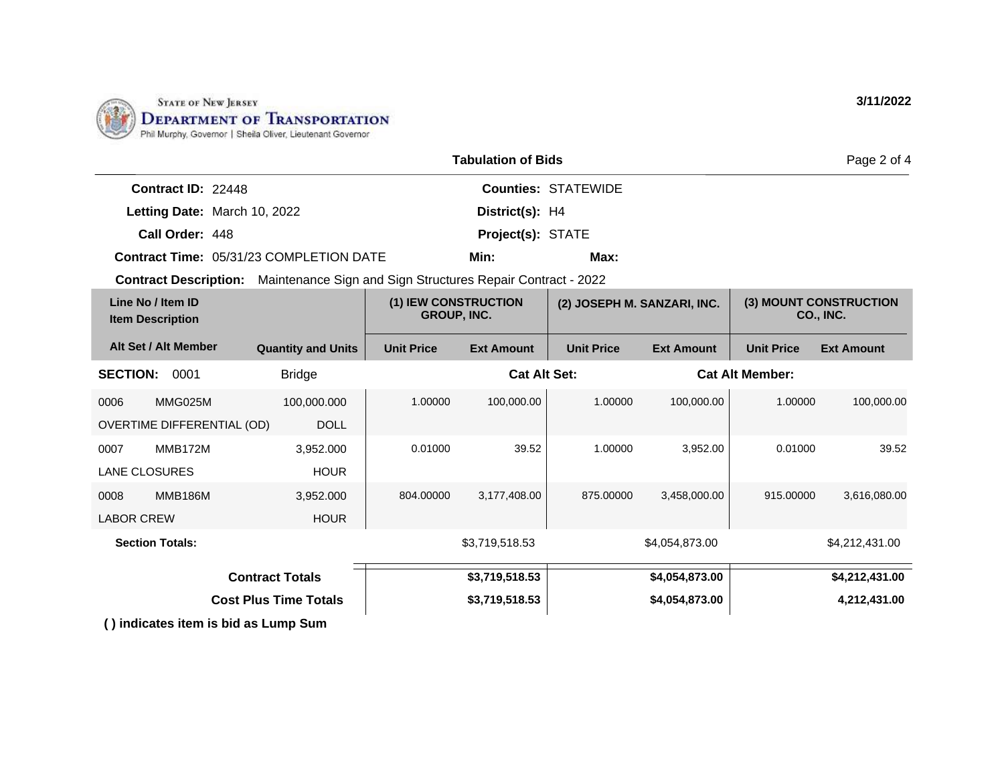

|                                                                                          |                           |                                            | <b>Tabulation of Bids</b> |                            |                             |                        | Page 2 of 4                         |
|------------------------------------------------------------------------------------------|---------------------------|--------------------------------------------|---------------------------|----------------------------|-----------------------------|------------------------|-------------------------------------|
| Contract ID: 22448                                                                       |                           |                                            |                           | <b>Counties: STATEWIDE</b> |                             |                        |                                     |
| Letting Date: March 10, 2022                                                             |                           |                                            | District(s): H4           |                            |                             |                        |                                     |
| Call Order: 448                                                                          |                           |                                            | Project(s): STATE         |                            |                             |                        |                                     |
| <b>Contract Time: 05/31/23 COMPLETION DATE</b>                                           |                           |                                            | Min:                      | Max:                       |                             |                        |                                     |
| <b>Contract Description:</b> Maintenance Sign and Sign Structures Repair Contract - 2022 |                           |                                            |                           |                            |                             |                        |                                     |
| Line No / Item ID<br><b>Item Description</b>                                             |                           | (1) IEW CONSTRUCTION<br><b>GROUP, INC.</b> |                           |                            | (2) JOSEPH M. SANZARI, INC. |                        | (3) MOUNT CONSTRUCTION<br>CO., INC. |
| Alt Set / Alt Member                                                                     | <b>Quantity and Units</b> | <b>Unit Price</b>                          | <b>Ext Amount</b>         | <b>Unit Price</b>          | <b>Ext Amount</b>           | <b>Unit Price</b>      | <b>Ext Amount</b>                   |
| <b>SECTION:</b><br>0001                                                                  | <b>Bridge</b>             |                                            | <b>Cat Alt Set:</b>       |                            |                             | <b>Cat Alt Member:</b> |                                     |
| MMG025M<br>0006                                                                          | 100.000.000               | 1.00000                                    | 100,000.00                | 1.00000                    | 100,000.00                  | 1.00000                | 100,000.00                          |
| OVERTIME DIFFERENTIAL (OD)                                                               | <b>DOLL</b>               |                                            |                           |                            |                             |                        |                                     |
| <b>MMB172M</b><br>0007                                                                   | 3,952.000                 | 0.01000                                    | 39.52                     | 1.00000                    | 3,952.00                    | 0.01000                | 39.52                               |
| <b>LANE CLOSURES</b>                                                                     | <b>HOUR</b>               |                                            |                           |                            |                             |                        |                                     |
| <b>MMB186M</b><br>0008                                                                   | 3,952.000                 | 804.00000                                  | 3,177,408.00              | 875,00000                  | 3,458,000.00                | 915.00000              | 3,616,080.00                        |
| <b>LABOR CREW</b>                                                                        | <b>HOUR</b>               |                                            |                           |                            |                             |                        |                                     |
| <b>Section Totals:</b>                                                                   |                           |                                            | \$3,719,518.53            |                            | \$4,054,873.00              |                        | \$4,212,431.00                      |

**( ) indicates item is bid as Lump Sum \$3,719,518.53 \$4,054,873.00 \$4,212,431.00 \$3,719,518.53 Contract Totals Cost Plus Time Totals 1.4,212,431.00 53,719,518.53 53,719,518.53 53,719,518.53 54,054,873.00 4,212,431.00**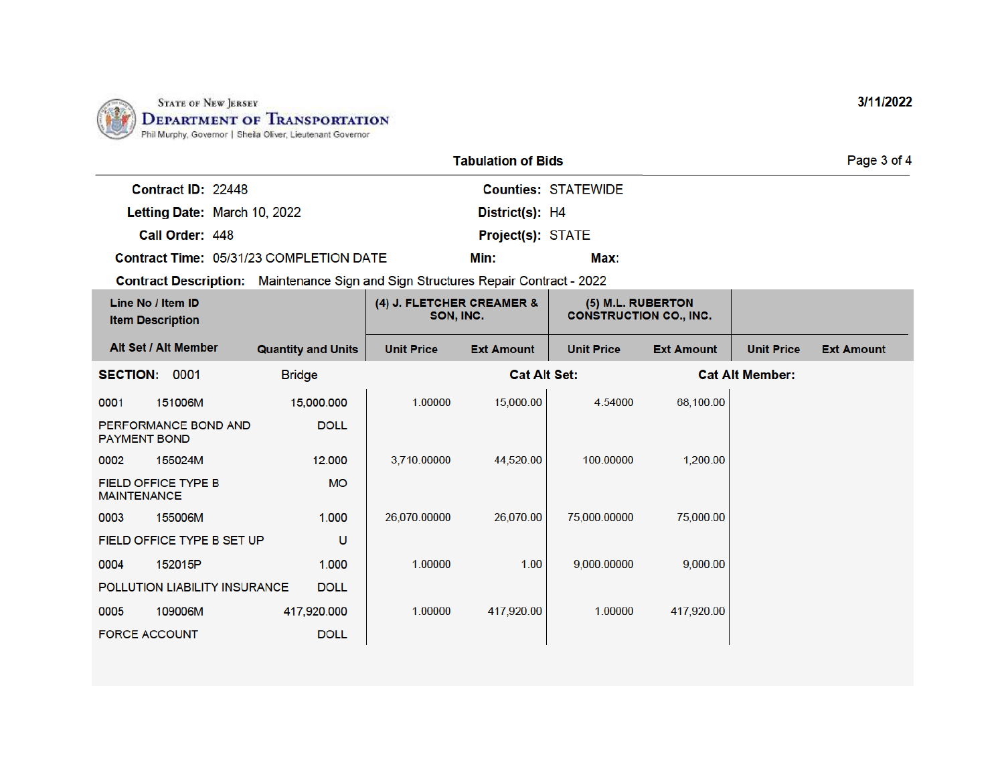

|                                                | <b>Tabulation of Bids</b>  |      | Page 3 of 4 |
|------------------------------------------------|----------------------------|------|-------------|
| Contract ID: 22448                             | <b>Counties: STATEWIDE</b> |      |             |
| Letting Date: March 10, 2022                   | District(s): H4            |      |             |
| Call Order: 448                                | <b>Project(s): STATE</b>   |      |             |
| <b>Contract Time: 05/31/23 COMPLETION DATE</b> | Min:                       | Max: |             |

Contract Description: Maintenance Sign and Sign Structures Repair Contract - 2022

| Line No / Item ID<br><b>Item Description</b>     |                            | (4) J. FLETCHER CREAMER &<br>SON, INC. |                   | (5) M.L. RUBERTON<br><b>CONSTRUCTION CO., INC.</b> |                   |                   |                        |                   |
|--------------------------------------------------|----------------------------|----------------------------------------|-------------------|----------------------------------------------------|-------------------|-------------------|------------------------|-------------------|
| Alt Set / Alt Member                             |                            | <b>Quantity and Units</b>              | <b>Unit Price</b> | <b>Ext Amount</b>                                  | <b>Unit Price</b> | <b>Ext Amount</b> | <b>Unit Price</b>      | <b>Ext Amount</b> |
| <b>SECTION:</b>                                  | 0001                       | <b>Bridge</b>                          |                   | <b>Cat Alt Set:</b>                                |                   |                   | <b>Cat Alt Member:</b> |                   |
| 0001                                             | 151006M                    | 15,000.000                             | 1.00000           | 15,000.00                                          | 4.54000           | 68,100.00         |                        |                   |
| PERFORMANCE BOND AND<br><b>PAYMENT BOND</b>      |                            | <b>DOLL</b>                            |                   |                                                    |                   |                   |                        |                   |
| 0002                                             | 155024M                    | 12.000                                 | 3,710.00000       | 44,520.00                                          | 100.00000         | 1,200.00          |                        |                   |
| <b>FIELD OFFICE TYPE B</b><br><b>MAINTENANCE</b> |                            | <b>MO</b>                              |                   |                                                    |                   |                   |                        |                   |
| 0003                                             | 155006M                    | 1.000                                  | 26,070.00000      | 26,070.00                                          | 75,000.00000      | 75,000.00         |                        |                   |
|                                                  | FIELD OFFICE TYPE B SET UP | U                                      |                   |                                                    |                   |                   |                        |                   |
| 0004                                             | 152015P                    | 1.000                                  | 1.00000           | 1.00                                               | 9,000.00000       | 9,000.00          |                        |                   |
| POLLUTION LIABILITY INSURANCE<br><b>DOLL</b>     |                            |                                        |                   |                                                    |                   |                   |                        |                   |
| 0005                                             | 109006M                    | 417,920.000                            | 1.00000           | 417,920.00                                         | 1.00000           | 417,920.00        |                        |                   |
| <b>FORCE ACCOUNT</b>                             |                            | <b>DOLL</b>                            |                   |                                                    |                   |                   |                        |                   |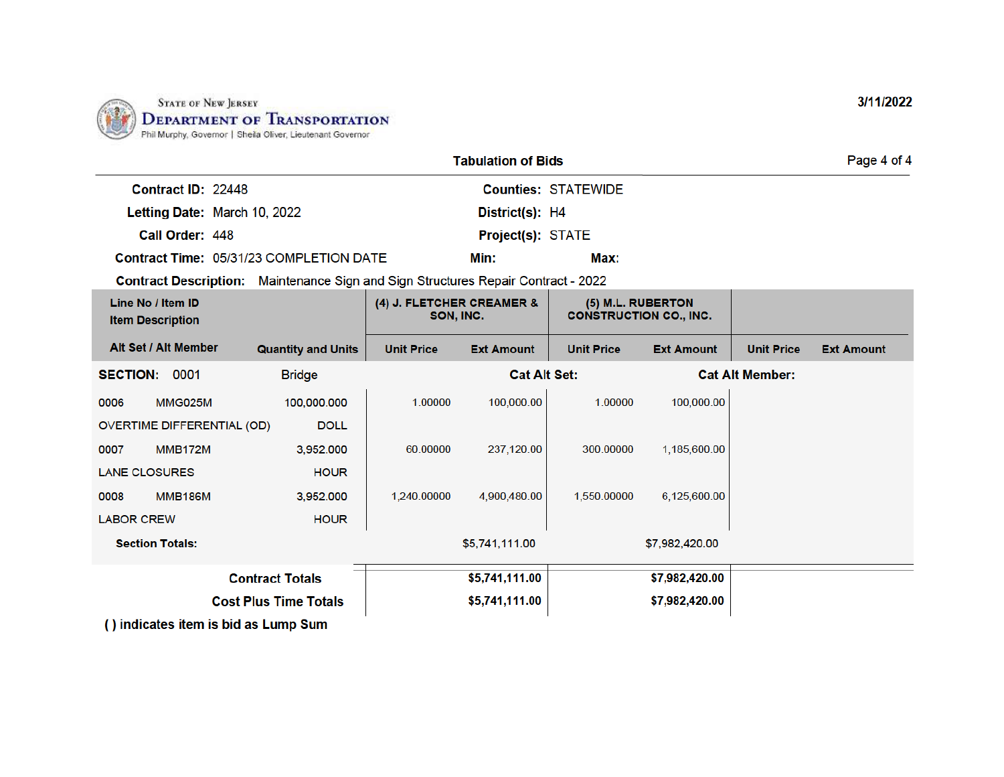

|                                              | <b>Tabulation of Bids</b>                                                                |                                        |                     |                            |                                                    |                        | Page 4 of 4       |
|----------------------------------------------|------------------------------------------------------------------------------------------|----------------------------------------|---------------------|----------------------------|----------------------------------------------------|------------------------|-------------------|
| Contract ID: 22448                           |                                                                                          |                                        |                     | <b>Counties: STATEWIDE</b> |                                                    |                        |                   |
|                                              | Letting Date: March 10, 2022                                                             |                                        | District(s): H4     |                            |                                                    |                        |                   |
| Call Order: 448                              |                                                                                          |                                        | Project(s): STATE   |                            |                                                    |                        |                   |
|                                              | Contract Time: 05/31/23 COMPLETION DATE                                                  |                                        | Min:                | Max:                       |                                                    |                        |                   |
|                                              | <b>Contract Description:</b> Maintenance Sign and Sign Structures Repair Contract - 2022 |                                        |                     |                            |                                                    |                        |                   |
| Line No / Item ID<br><b>Item Description</b> |                                                                                          | (4) J. FLETCHER CREAMER &<br>SON, INC. |                     |                            | (5) M.L. RUBERTON<br><b>CONSTRUCTION CO., INC.</b> |                        |                   |
| Alt Set / Alt Member                         | <b>Quantity and Units</b>                                                                | <b>Unit Price</b>                      | <b>Ext Amount</b>   | <b>Unit Price</b>          | <b>Ext Amount</b>                                  | <b>Unit Price</b>      | <b>Ext Amount</b> |
| <b>SECTION:</b><br>0001                      | <b>Bridge</b>                                                                            |                                        | <b>Cat Alt Set:</b> |                            |                                                    | <b>Cat Alt Member:</b> |                   |
| MMG025M<br>0006                              | 100,000.000                                                                              | 1.00000                                | 100,000.00          | 1.00000                    | 100,000.00                                         |                        |                   |
| <b>OVERTIME DIFFERENTIAL (OD)</b>            | <b>DOLL</b>                                                                              |                                        |                     |                            |                                                    |                        |                   |
| <b>MMB172M</b><br>0007                       | 3,952.000                                                                                | 60.00000                               | 237,120.00          | 300.00000                  | 1,185,600.00                                       |                        |                   |
| <b>LANE CLOSURES</b>                         | <b>HOUR</b>                                                                              |                                        |                     |                            |                                                    |                        |                   |
| <b>MMB186M</b><br>0008                       | 3,952.000                                                                                | 1.240.00000                            | 4,900,480.00        | 1,550,00000                | 6,125,600.00                                       |                        |                   |
| <b>LABOR CREW</b>                            | <b>HOUR</b>                                                                              |                                        |                     |                            |                                                    |                        |                   |
| <b>Section Totals:</b>                       |                                                                                          |                                        | \$5,741,111.00      |                            | \$7,982,420.00                                     |                        |                   |
|                                              | <b>Contract Totals</b>                                                                   |                                        | \$5,741,111.00      |                            | \$7,982,420.00                                     |                        |                   |
|                                              | <b>Cost Plus Time Totals</b>                                                             |                                        | \$5,741,111.00      |                            | \$7,982,420.00                                     |                        |                   |
|                                              | () indicates item is bid as Lump Sum                                                     |                                        |                     |                            |                                                    |                        |                   |